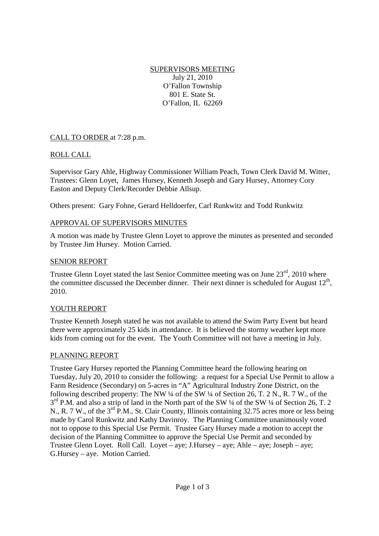SUPERVISORS MEETING July 21, 2010 O'Fallon Township 801 E. State St. O'Fallon, IL 62269

# CALL TO ORDER at 7:28 p.m.

# ROLL CALL

Supervisor Gary Ahle, Highway Commissioner William Peach, Town Clerk David M. Witter, Trustees: Glenn Loyet, James Hursey, Kenneth Joseph and Gary Hursey, Attorney Cory Easton and Deputy Clerk/Recorder Debbie Allsup.

Others present: Gary Fohne, Gerard Helldoerfer, Carl Runkwitz and Todd Runkwitz

### APPROVAL OF SUPERVISORS MINUTES

A motion was made by Trustee Glenn Loyet to approve the minutes as presented and seconded by Trustee Jim Hursey. Motion Carried.

#### SENIOR REPORT

Trustee Glenn Loyet stated the last Senior Committee meeting was on June  $23<sup>rd</sup>$ , 2010 where the committee discussed the December dinner. Their next dinner is scheduled for August  $12<sup>th</sup>$ , 2010.

#### YOUTH REPORT

Trustee Kenneth Joseph stated he was not available to attend the Swim Party Event but heard there were approximately 25 kids in attendance. It is believed the stormy weather kept more kids from coming out for the event. The Youth Committee will not have a meeting in July.

#### PLANNING REPORT

Trustee Gary Hursey reported the Planning Committee heard the following hearing on Tuesday, July 20, 2010 to consider the following: a request for a Special Use Permit to allow a Farm Residence (Secondary) on 5-acres in "A" Agricultural Industry Zone District, on the following described property: The NW  $\frac{1}{4}$  of the SW  $\frac{1}{4}$  of Section 26, T. 2 N., R. 7 W., of the 3<sup>rd</sup> P.M. and also a strip of land in the North part of the SW ¼ of the SW ¼ of Section 26, T. 2 N., R. 7 W., of the 3<sup>rd</sup> P.M., St. Clair County, Illinois containing 32.75 acres more or less being made by Carol Runkwitz and Kathy Davinroy. The Planning Committee unanimously voted not to oppose to this Special Use Permit. Trustee Gary Hursey made a motion to accept the decision of the Planning Committee to approve the Special Use Permit and seconded by Trustee Glenn Loyet. Roll Call. Loyet – aye; J.Hursey – aye; Ahle – aye; Joseph – aye; G.Hursey – aye. Motion Carried.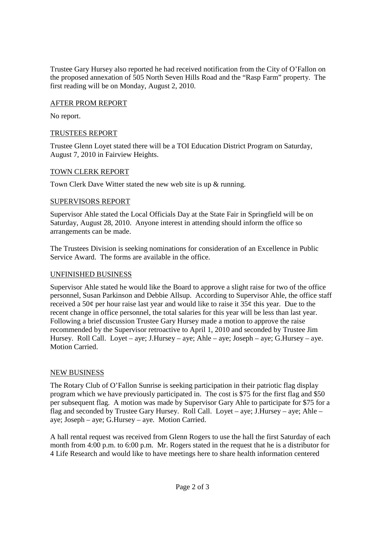Trustee Gary Hursey also reported he had received notification from the City of O'Fallon on the proposed annexation of 505 North Seven Hills Road and the "Rasp Farm" property. The first reading will be on Monday, August 2, 2010.

### AFTER PROM REPORT

No report.

### TRUSTEES REPORT

Trustee Glenn Loyet stated there will be a TOI Education District Program on Saturday, August 7, 2010 in Fairview Heights.

### TOWN CLERK REPORT

Town Clerk Dave Witter stated the new web site is up & running.

### SUPERVISORS REPORT

Supervisor Ahle stated the Local Officials Day at the State Fair in Springfield will be on Saturday, August 28, 2010. Anyone interest in attending should inform the office so arrangements can be made.

The Trustees Division is seeking nominations for consideration of an Excellence in Public Service Award. The forms are available in the office.

# UNFINISHED BUSINESS

Supervisor Ahle stated he would like the Board to approve a slight raise for two of the office personnel, Susan Parkinson and Debbie Allsup. According to Supervisor Ahle, the office staff received a 50¢ per hour raise last year and would like to raise it 35¢ this year. Due to the recent change in office personnel, the total salaries for this year will be less than last year. Following a brief discussion Trustee Gary Hursey made a motion to approve the raise recommended by the Supervisor retroactive to April 1, 2010 and seconded by Trustee Jim Hursey. Roll Call. Loyet – aye; J.Hursey – aye; Ahle – aye; Joseph – aye; G.Hursey – aye. Motion Carried.

# NEW BUSINESS

The Rotary Club of O'Fallon Sunrise is seeking participation in their patriotic flag display program which we have previously participated in. The cost is \$75 for the first flag and \$50 per subsequent flag. A motion was made by Supervisor Gary Ahle to participate for \$75 for a flag and seconded by Trustee Gary Hursey. Roll Call. Loyet – aye; J.Hursey – aye; Ahle – aye; Joseph – aye; G.Hursey – aye. Motion Carried.

A hall rental request was received from Glenn Rogers to use the hall the first Saturday of each month from 4:00 p.m. to 6:00 p.m. Mr. Rogers stated in the request that he is a distributor for 4 Life Research and would like to have meetings here to share health information centered